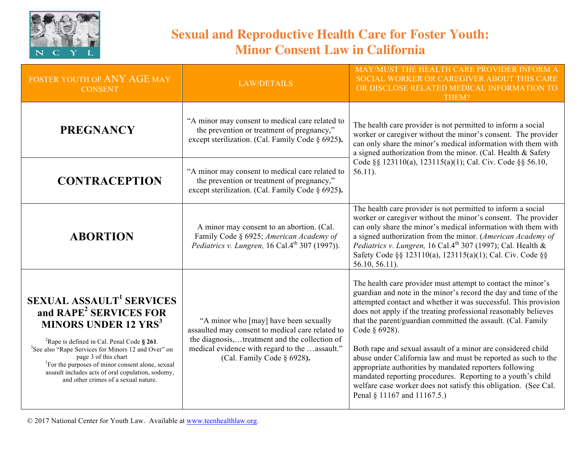

## **Sexual and Reproductive Health Care for Foster Youth: Minor Consent Law in California**

| FOSTER YOUTH OF ANY AGE MAY<br><b>CONSENT</b>                                                                                                                                                                                                                                                                                                                                                                                                   | <b>LAW/DETAILS</b>                                                                                                                                                                                                        | MAY/MUST THE HEALTH CARE PROVIDER INFORM A<br>SOCIAL WORKER OR CAREGIVER ABOUT THIS CARE<br>OR DISCLOSE RELATED MEDICAL INFORMATION TO<br>THEM?                                                                                                                                                                                                                                                                                                                                                                                                                                                                                                                                                                      |
|-------------------------------------------------------------------------------------------------------------------------------------------------------------------------------------------------------------------------------------------------------------------------------------------------------------------------------------------------------------------------------------------------------------------------------------------------|---------------------------------------------------------------------------------------------------------------------------------------------------------------------------------------------------------------------------|----------------------------------------------------------------------------------------------------------------------------------------------------------------------------------------------------------------------------------------------------------------------------------------------------------------------------------------------------------------------------------------------------------------------------------------------------------------------------------------------------------------------------------------------------------------------------------------------------------------------------------------------------------------------------------------------------------------------|
| <b>PREGNANCY</b>                                                                                                                                                                                                                                                                                                                                                                                                                                | "A minor may consent to medical care related to<br>the prevention or treatment of pregnancy,"<br>except sterilization. (Cal. Family Code § 6925).                                                                         | The health care provider is not permitted to inform a social<br>worker or caregiver without the minor's consent. The provider<br>can only share the minor's medical information with them with<br>a signed authorization from the minor. (Cal. Health & Safety<br>Code §§ 123110(a), 123115(a)(1); Cal. Civ. Code §§ 56.10,<br>$56.11$ ).                                                                                                                                                                                                                                                                                                                                                                            |
| <b>CONTRACEPTION</b>                                                                                                                                                                                                                                                                                                                                                                                                                            | "A minor may consent to medical care related to<br>the prevention or treatment of pregnancy,"<br>except sterilization. (Cal. Family Code § 6925).                                                                         |                                                                                                                                                                                                                                                                                                                                                                                                                                                                                                                                                                                                                                                                                                                      |
| <b>ABORTION</b>                                                                                                                                                                                                                                                                                                                                                                                                                                 | A minor may consent to an abortion. (Cal.<br>Family Code § 6925; American Academy of<br>Pediatrics v. Lungren, 16 Cal.4 <sup>th</sup> 307 (1997)).                                                                        | The health care provider is not permitted to inform a social<br>worker or caregiver without the minor's consent. The provider<br>can only share the minor's medical information with them with<br>a signed authorization from the minor. (American Academy of<br>Pediatrics v. Lungren, 16 Cal.4 <sup>th</sup> 307 (1997); Cal. Health &<br>Safety Code §§ 123110(a), 123115(a)(1); Cal. Civ. Code §§<br>56.10, 56.11).                                                                                                                                                                                                                                                                                              |
| <b>SEXUAL ASSAULT<sup>1</sup> SERVICES</b><br>and RAPE <sup>2</sup> SERVICES FOR<br><b>MINORS UNDER 12 YRS<sup>3</sup></b><br><sup>2</sup> Rape is defined in Cal. Penal Code $\S$ 261.<br><sup>3</sup> See also "Rape Services for Minors 12 and Over" on<br>page 3 of this chart<br><sup>1</sup> For the purposes of minor consent alone, sexual<br>assault includes acts of oral copulation, sodomy,<br>and other crimes of a sexual nature. | "A minor who [may] have been sexually<br>assaulted may consent to medical care related to<br>the diagnosis,treatment and the collection of<br>medical evidence with regard to the assault."<br>(Cal. Family Code § 6928). | The health care provider must attempt to contact the minor's<br>guardian and note in the minor's record the day and time of the<br>attempted contact and whether it was successful. This provision<br>does not apply if the treating professional reasonably believes<br>that the parent/guardian committed the assault. (Cal. Family<br>Code § 6928).<br>Both rape and sexual assault of a minor are considered child<br>abuse under California law and must be reported as such to the<br>appropriate authorities by mandated reporters following<br>mandated reporting procedures. Reporting to a youth's child<br>welfare case worker does not satisfy this obligation. (See Cal.<br>Penal § 11167 and 11167.5.) |